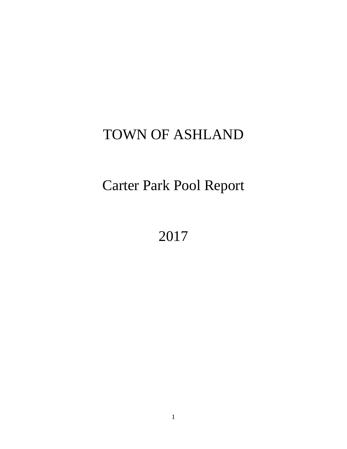# TOWN OF ASHLAND

Carter Park Pool Report

2017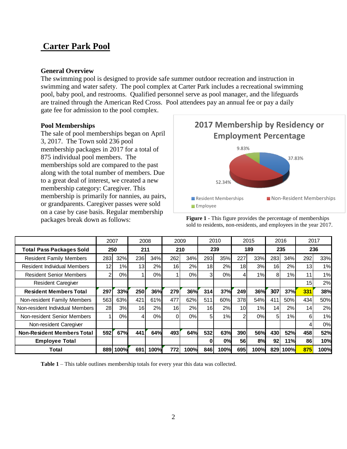# **Carter Park Pool**

#### **General Overview**

The swimming pool is designed to provide safe summer outdoor recreation and instruction in swimming and water safety. The pool complex at Carter Park includes a recreational swimming pool, baby pool, and restrooms. Qualified personnel serve as pool manager, and the lifeguards are trained through the American Red Cross. Pool attendees pay an annual fee or pay a daily gate fee for admission to the pool complex.

#### **Pool Memberships**

The sale of pool memberships began on April 3, 2017. The Town sold 236 pool membership packages in 2017 for a total of 875 individual pool members. The memberships sold are compared to the past along with the total number of members. Due to a great deal of interest, we created a new membership category: Caregiver. This membership is primarily for nannies, au pairs, or grandparents. Caregiver passes were sold on a case by case basis. Regular membership packages break down as follows:



**Figure 1** - This figure provides the percentage of memberships sold to residents, non-residents, and employees in the year 2017.

|                                   | 2007 |      | 2008            |            |                 | 2009  |                 | 2010 |                 | 2015 |     | 2016 |     | 2017 |
|-----------------------------------|------|------|-----------------|------------|-----------------|-------|-----------------|------|-----------------|------|-----|------|-----|------|
| <b>Total Pass Packages Sold</b>   |      | 250  | 211             |            |                 | 210   |                 | 239  |                 | 189  |     | 235  |     | 236  |
| <b>Resident Family Members</b>    | 283  | 32%  | 236             | 34%        | 262             | 34%   | 293             | 35%  | 227             | 33%  | 283 | 34%  | 292 | 33%  |
| Resident Individual Members       | 12   | 1%   | 13 <sub>l</sub> | 2%         | 16 <sup>1</sup> | 2%    | 18 <sup>1</sup> | 2%   | 18 <sup>1</sup> | 3%   | 16  | 2%   | 13  | 1%   |
| <b>Resident Senior Members</b>    | 2    | 0%   |                 | 0%         | 1               | $0\%$ | 3 <sub>l</sub>  | 0%   | 4               | 1%   | 8   | 1%   | 11  | 1%   |
| <b>Resident Caregiver</b>         |      |      |                 |            |                 |       |                 |      |                 |      |     |      | 15  | 2%   |
| <b>Resident Members Total</b>     | 297  | 33%  | 250             | <b>36%</b> | 279             | 36%   | <b>314</b>      | 37%  | 249             | 36%  | 307 | 37%  | 331 | 38%  |
| Non-resident Family Members       | 563  | 63%  | 421             | 61%        | 477             | 62%   | 511             | 60%  | 378             | 54%  | 411 | 50%  | 434 | 50%  |
| Non-resident Individual Members   | 28I  | 3%   | 16I             | 2%         | 16 <sub>l</sub> | 2%    | 16 <sup>1</sup> | 2%   | 10 <sup>1</sup> | 1%   | 14  | 2%   | 14  | 2%   |
| Non-resident Senior Members       |      | 0%   | 4               | 0%         | 0               | 0%    | 5               | 1%   | 2 <sub>1</sub>  | 0%   | 5   | 1%   | 6   | 1%   |
| Non-resident Caregiver            |      |      |                 |            |                 |       |                 |      |                 |      |     |      |     | 0%   |
| <b>Non-Resident Members Total</b> | 592  | 67%  | 441             | 64%        | 493             | 64%   | 532             | 63%  | 390             | 56%  | 430 | 52%  | 458 | 52%  |
| <b>Employee Total</b>             |      |      |                 |            |                 |       | 0               | 0%   | <b>56</b>       | 8%   | 92  | 11%  | 86  | 10%  |
| Total                             | 889  | 100% | 691             | 100%       | 772             | 100%  | 846             | 100% | 695             | 100% | 829 | 100% | 875 | 100% |

**Table 1** – This table outlines membership totals for every year this data was collected.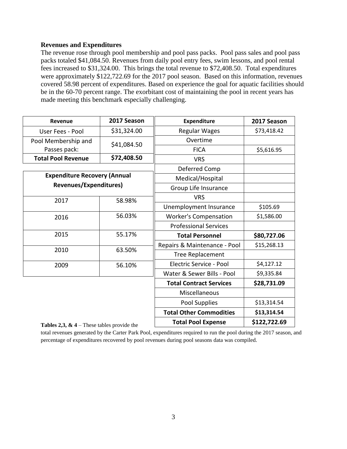#### **Revenues and Expenditures**

The revenue rose through pool membership and pool pass packs. Pool pass sales and pool pass packs totaled \$41,084.50. Revenues from daily pool entry fees, swim lessons, and pool rental fees increased to \$31,324.00. This brings the total revenue to \$72,408.50. Total expenditures were approximately \$122,722.69 for the 2017 pool season. Based on this information, revenues covered 58.98 percent of expenditures. Based on experience the goal for aquatic facilities should be in the 60-70 percent range. The exorbitant cost of maintaining the pool in recent years has made meeting this benchmark especially challenging.

| Revenue                                                       | 2017 Season | <b>Expenditure</b>             | 2017 Season  |  |
|---------------------------------------------------------------|-------------|--------------------------------|--------------|--|
| User Fees - Pool                                              | \$31,324.00 | <b>Regular Wages</b>           | \$73,418.42  |  |
| Pool Membership and                                           | \$41,084.50 | Overtime                       |              |  |
| Passes pack:                                                  |             | <b>FICA</b>                    | \$5,616.95   |  |
| <b>Total Pool Revenue</b>                                     | \$72,408.50 | <b>VRS</b>                     |              |  |
|                                                               |             | Deferred Comp                  |              |  |
| <b>Expenditure Recovery (Annual</b><br>Revenues/Expenditures) |             | Medical/Hospital               |              |  |
|                                                               |             | Group Life Insurance           |              |  |
| 2017                                                          | 58.98%      | <b>VRS</b>                     |              |  |
|                                                               |             | Unemployment Insurance         | \$105.69     |  |
| 2016                                                          | 56.03%      | <b>Worker's Compensation</b>   | \$1,586.00   |  |
|                                                               |             | <b>Professional Services</b>   |              |  |
| 2015<br>55.17%                                                |             | <b>Total Personnel</b>         | \$80,727.06  |  |
| 2010<br>63.50%                                                |             | Repairs & Maintenance - Pool   | \$15,268.13  |  |
|                                                               |             | Tree Replacement               |              |  |
| 2009                                                          | 56.10%      | Electric Service - Pool        | \$4,127.12   |  |
|                                                               |             | Water & Sewer Bills - Pool     | \$9,335.84   |  |
|                                                               |             | <b>Total Contract Services</b> | \$28,731.09  |  |
|                                                               |             | Miscellaneous                  |              |  |
|                                                               |             | Pool Supplies                  | \$13,314.54  |  |
|                                                               |             | <b>Total Other Commodities</b> | \$13,314.54  |  |
| <b>Tables 2,3, &amp; 4</b> – These tables provide the         |             | <b>Total Pool Expense</b>      | \$122,722.69 |  |

total revenues generated by the Carter Park Pool, expenditures required to run the pool during the 2017 season, and percentage of expenditures recovered by pool revenues during pool seasons data was compiled.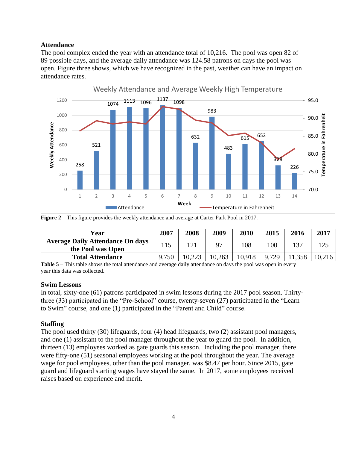#### **Attendance**

The pool complex ended the year with an attendance total of 10,216. The pool was open 82 of 89 possible days, and the average daily attendance was 124.58 patrons on days the pool was open. Figure three shows, which we have recognized in the past, weather can have an impact on attendance rates.



|  |  |  | <b>Figure 2</b> – This figure provides the weekly attendance and average at Carter Park Pool in 2017. |  |
|--|--|--|-------------------------------------------------------------------------------------------------------|--|
|--|--|--|-------------------------------------------------------------------------------------------------------|--|

| Year                                                         | 2007  | 2008 | 2009   | 2010   | 2015  | 2016 | 2017   |
|--------------------------------------------------------------|-------|------|--------|--------|-------|------|--------|
| <b>Average Daily Attendance On days</b><br>the Pool was Open | 115   |      | 97     | 108    | 100   |      | 125    |
| <b>Total Attendance</b>                                      | 9,750 |      | 10,263 | 10,918 | 9.729 | .358 | 10,216 |

**Table 5** – This table shows the total attendance and average daily attendance on days the pool was open in every year this data was collected**.** 

#### **Swim Lessons**

In total, sixty-one (61) patrons participated in swim lessons during the 2017 pool season. Thirtythree (33) participated in the "Pre-School" course, twenty-seven (27) participated in the "Learn to Swim" course, and one (1) participated in the "Parent and Child" course.

#### **Staffing**

The pool used thirty (30) lifeguards, four (4) head lifeguards, two (2) assistant pool managers, and one (1) assistant to the pool manager throughout the year to guard the pool. In addition, thirteen (13) employees worked as gate guards this season. Including the pool manager, there were fifty-one (51) seasonal employees working at the pool throughout the year. The average wage for pool employees, other than the pool manager, was \$8.47 per hour. Since 2015, gate guard and lifeguard starting wages have stayed the same. In 2017, some employees received raises based on experience and merit.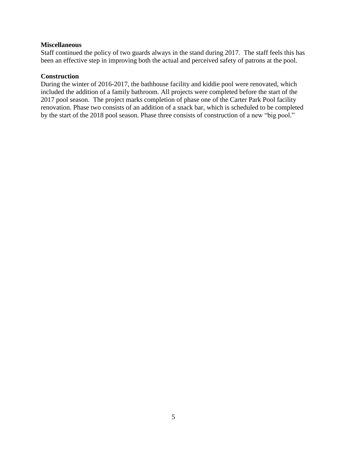#### **Miscellaneous**

Staff continued the policy of two guards always in the stand during 2017. The staff feels this has been an effective step in improving both the actual and perceived safety of patrons at the pool.

#### **Construction**

During the winter of 2016-2017, the bathhouse facility and kiddie pool were renovated, which included the addition of a family bathroom. All projects were completed before the start of the 2017 pool season. The project marks completion of phase one of the Carter Park Pool facility renovation. Phase two consists of an addition of a snack bar, which is scheduled to be completed by the start of the 2018 pool season. Phase three consists of construction of a new "big pool."